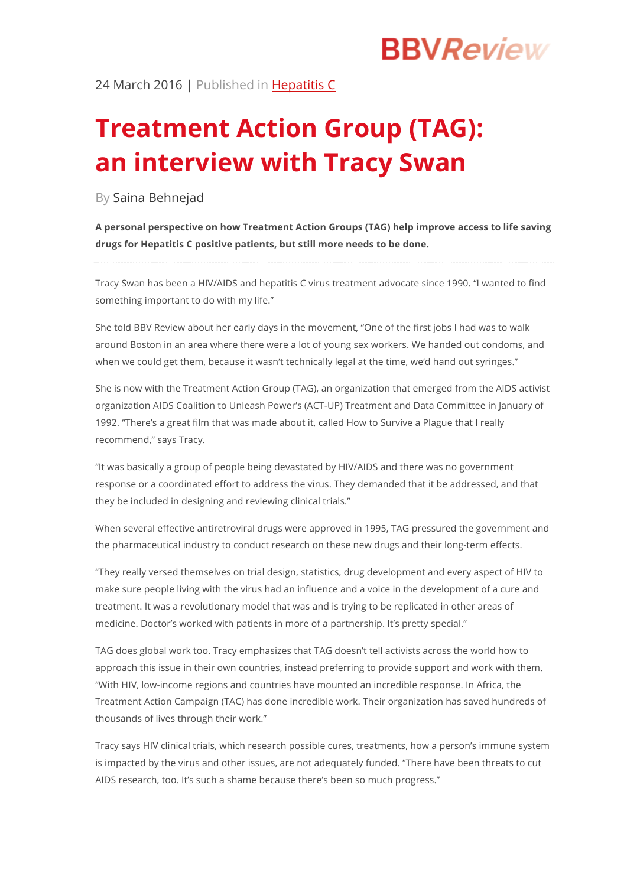# **BBVReview**

24 March 2016 | Published in Hepatitis C

# **Treatment Action Group (TAG): an interview with Tracy Swan**

By Saina Behnejad

**A personal perspective on how Treatment Action Groups (TAG) help improve access to life saving drugs for Hepatitis C positive patients, but still more needs to be done.**

Tracy Swan has been a HIV/AIDS and hepatitis C virus treatment advocate since 1990. "I wanted to find something important to do with my life."

She told BBV Review about her early days in the movement, "One of the first jobs I had was to walk around Boston in an area where there were a lot of young sex workers. We handed out condoms, and when we could get them, because it wasn't technically legal at the time, we'd hand out syringes."

She is now with the Treatment Action Group (TAG), an organization that emerged from the AIDS activist organization AIDS Coalition to Unleash Power's (ACT-UP) Treatment and Data Committee in January of 1992. "There's a great film that was made about it, called How to Survive a Plague that I really recommend," says Tracy.

"It was basically a group of people being devastated by HIV/AIDS and there was no government response or a coordinated effort to address the virus. They demanded that it be addressed, and that they be included in designing and reviewing clinical trials."

When several effective antiretroviral drugs were approved in 1995, TAG pressured the government and the pharmaceutical industry to conduct research on these new drugs and their long-term effects.

"They really versed themselves on trial design, statistics, drug development and every aspect of HIV to make sure people living with the virus had an influence and a voice in the development of a cure and treatment. It was a revolutionary model that was and is trying to be replicated in other areas of medicine. Doctor's worked with patients in more of a partnership. It's pretty special."

TAG does global work too. Tracy emphasizes that TAG doesn't tell activists across the world how to approach this issue in their own countries, instead preferring to provide support and work with them. "With HIV, low-income regions and countries have mounted an incredible response. In Africa, the Treatment Action Campaign (TAC) has done incredible work. Their organization has saved hundreds of thousands of lives through their work."

Tracy says HIV clinical trials, which research possible cures, treatments, how a person's immune system is impacted by the virus and other issues, are not adequately funded. "There have been threats to cut AIDS research, too. It's such a shame because there's been so much progress."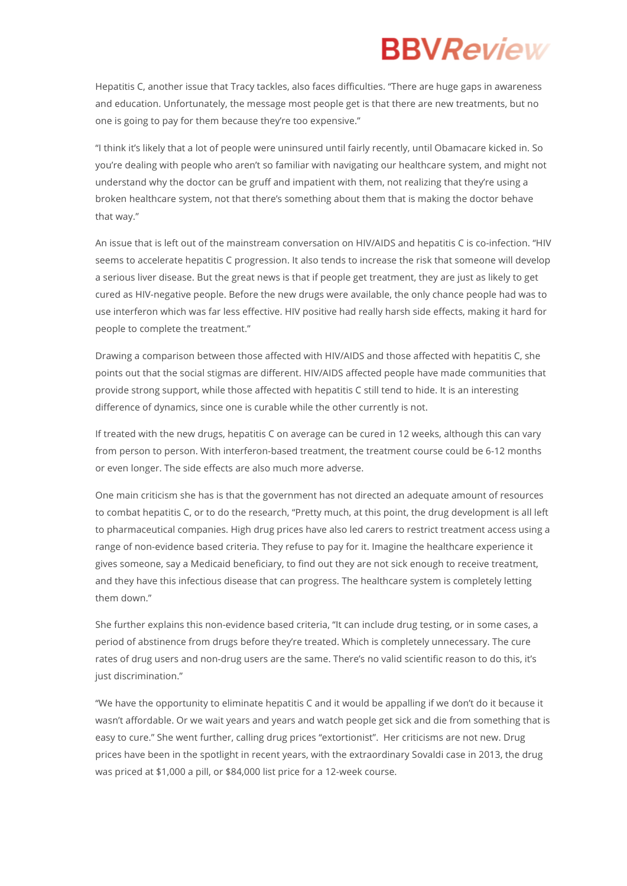## **BBVReview**

Hepatitis C, another issue that Tracy tackles, also faces difficulties. "There are huge gaps in awareness and education. Unfortunately, the message most people get is that there are new treatments, but no one is going to pay for them because they're too expensive."

"I think it's likely that a lot of people were uninsured until fairly recently, until Obamacare kicked in. So you're dealing with people who aren't so familiar with navigating our healthcare system, and might not understand why the doctor can be gruff and impatient with them, not realizing that they're using a broken healthcare system, not that there's something about them that is making the doctor behave that way."

An issue that is left out of the mainstream conversation on HIV/AIDS and hepatitis C is co-infection. "HIV seems to accelerate hepatitis C progression. It also tends to increase the risk that someone will develop a serious liver disease. But the great news is that if people get treatment, they are just as likely to get cured as HIV-negative people. Before the new drugs were available, the only chance people had was to use interferon which was far less effective. HIV positive had really harsh side effects, making it hard for people to complete the treatment."

Drawing a comparison between those affected with HIV/AIDS and those affected with hepatitis C, she points out that the social stigmas are different. HIV/AIDS affected people have made communities that provide strong support, while those affected with hepatitis C still tend to hide. It is an interesting difference of dynamics, since one is curable while the other currently is not.

If treated with the new drugs, hepatitis C on average can be cured in 12 weeks, although this can vary from person to person. With interferon-based treatment, the treatment course could be 6-12 months or even longer. The side effects are also much more adverse.

One main criticism she has is that the government has not directed an adequate amount of resources to combat hepatitis C, or to do the research, "Pretty much, at this point, the drug development is all left to pharmaceutical companies. High drug prices have also led carers to restrict treatment access using a range of non-evidence based criteria. They refuse to pay for it. Imagine the healthcare experience it gives someone, say a Medicaid beneficiary, to find out they are not sick enough to receive treatment, and they have this infectious disease that can progress. The healthcare system is completely letting them down."

She further explains this non-evidence based criteria, "It can include drug testing, or in some cases, a period of abstinence from drugs before they're treated. Which is completely unnecessary. The cure rates of drug users and non-drug users are the same. There's no valid scientific reason to do this, it's just discrimination."

"We have the opportunity to eliminate hepatitis C and it would be appalling if we don't do it because it wasn't affordable. Or we wait years and years and watch people get sick and die from something that is easy to cure." She went further, calling drug prices "extortionist". Her criticisms are not new. Drug prices have been in the spotlight in recent years, with the extraordinary Sovaldi case in 2013, the drug was priced at \$1,000 a pill, or \$84,000 list price for a 12-week course.